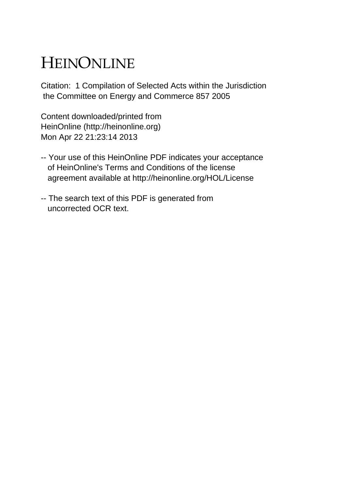# HEINONLINE

Citation: 1 Compilation of Selected Acts within the Jurisdiction the Committee on Energy and Commerce 857 2005

Content downloaded/printed from HeinOnline (http://heinonline.org) Mon Apr 22 21:23:14 2013

- -- Your use of this HeinOnline PDF indicates your acceptance of HeinOnline's Terms and Conditions of the license agreement available at http://heinonline.org/HOL/License
- -- The search text of this PDF is generated from uncorrected OCR text.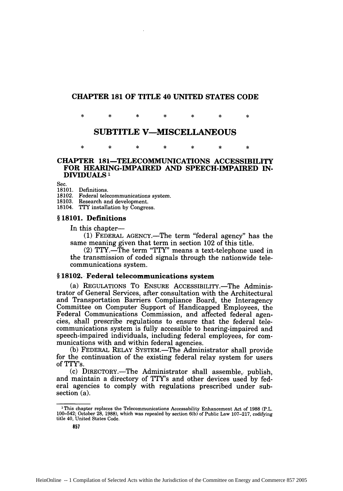## **CHAPTER 181 OF TITLE 40 UNITED STATES CODE**

 $\star$ ٠k  $\star$ sk.  $\ast$  $\ast$  $\star$ 

## **SUBTITLE V-MISCELLANEOUS**

sk.  $\ast$  $\ast$ 

### **CHAPTER 181-TELECOMMUNICATIONS ACCESSIBILITY FOR HEARING-IMPAIRED AND SPEECH-IMPAIRED IN-DIVIDUALS 1**

Sec.

18101. Definitions. 18102. Federal telecommunications system.

18103. Research and development.

18104. TTY installation by Congress.

## **§ 18101. Definitions**

In this chapter—

**(1)** FEDERAL AGENCY.-The term "federal agency" has the same meaning given that term in section 102 of this title.

(2) TTY.-The term "TTY" means a text-telephone used in the transmission of coded signals through the nationwide telecommunications system.

#### **§ 18102.** Federal telecommunications system

(a) REGULATIONS TO ENSURE ACCESSIBILITY.-The Administrator of General Services, after consultation with the Architectural and Transportation Barriers Compliance Board, the Interagency Committee on Computer Support of Handicapped Employees, the Federal Communications Commission, and affected federal agencies, shall prescribe regulations to ensure that the federal telecommunications system is fully accessible to hearing-impaired and speech-impaired individuals, including federal employees, for communications with and within federal agencies.

**(b)** FEDERAL RELAY SYSTEM.-The Administrator shall provide for the continuation of the existing federal relay system for users of TTY's.

(c) DIRECTORY.-The Administrator shall assemble, publish, and maintain a directory of TTY's and other devices used by federal agencies to comply with regulations prescribed under subsection (a).

<sup>&#</sup>x27;This chapter replaces the Telecommunications Accessability Enhancement Act of 1988 (P.L. 100-542; October 28, 1988), which was repealed by section 6(b) of Public Law 107-217, codifying title 40, United States Code.